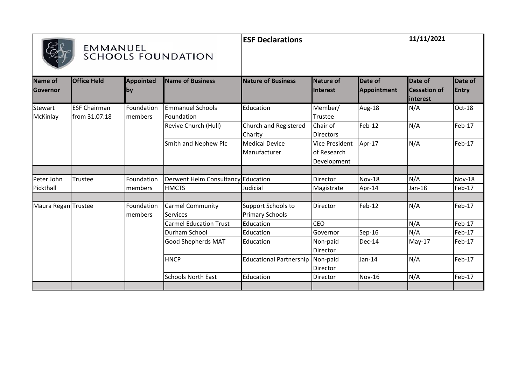|                     |                                      |                                                                                                                                                                                                                                                                                                                                                                                                                                                                                                                                                                                                                                                                                                                                                                                                                                                                                                                                                                                                                                                                                                                                                                                                                           |                           | <b>ESF Declarations</b> |          |               | 11/11/2021 |               |
|---------------------|--------------------------------------|---------------------------------------------------------------------------------------------------------------------------------------------------------------------------------------------------------------------------------------------------------------------------------------------------------------------------------------------------------------------------------------------------------------------------------------------------------------------------------------------------------------------------------------------------------------------------------------------------------------------------------------------------------------------------------------------------------------------------------------------------------------------------------------------------------------------------------------------------------------------------------------------------------------------------------------------------------------------------------------------------------------------------------------------------------------------------------------------------------------------------------------------------------------------------------------------------------------------------|---------------------------|-------------------------|----------|---------------|------------|---------------|
| Name of<br>Governor | <b>Office Held</b>                   | EMMANUEL<br><b>SCHOOLS FOUNDATION</b><br><b>Appointed</b><br><b>Name of Business</b><br><b>Nature of Business</b><br>Nature of<br><b>Date of</b><br>Date of<br>Appointment<br><b>Cessation of</b><br>Interest<br>by<br>interest<br><b>Emmanuel Schools</b><br>Member/<br>N/A<br>Foundation<br>Education<br>Aug-18<br><b>Imembers</b><br>Foundation<br>Trustee<br>N/A<br>Feb-12<br>Church and Registered<br>Chair of<br>Revive Church (Hull)<br>Charity<br><b>Directors</b><br>N/A<br>Smith and Nephew Plc<br><b>Medical Device</b><br>Apr-17<br><b>Vice President</b><br>of Research<br>Manufacturer<br>Development<br>Derwent Helm Consultancy Education<br>Nov-18<br>N/A<br>Foundation<br>Director<br><b>HMCTS</b><br>Judicial<br>$Jan-18$<br>members<br>Magistrate<br>Apr-14<br>Feb-12<br>N/A<br><b>Carmel Community</b><br>Support Schools to<br>Foundation<br>Director<br><b>Primary Schools</b><br>members<br><b>Services</b><br>N/A<br>CEO<br><b>Carmel Education Trust</b><br>Education<br>N/A<br>Durham School<br>Education<br>Governor<br>Sep-16<br>Good Shepherds MAT<br>May-17<br>Education<br>Non-paid<br>Dec-14<br>Director<br>N/A<br><b>HNCP</b><br><b>Educational Partnership</b><br>Non-paid<br>$Jan-14$ | Date of<br><b>Entry</b>   |                         |          |               |            |               |
| Stewart<br>McKinlay | <b>ESF Chairman</b><br>from 31.07.18 |                                                                                                                                                                                                                                                                                                                                                                                                                                                                                                                                                                                                                                                                                                                                                                                                                                                                                                                                                                                                                                                                                                                                                                                                                           |                           |                         |          |               |            | Oct-18        |
|                     |                                      |                                                                                                                                                                                                                                                                                                                                                                                                                                                                                                                                                                                                                                                                                                                                                                                                                                                                                                                                                                                                                                                                                                                                                                                                                           |                           |                         |          |               |            | Feb-17        |
|                     |                                      |                                                                                                                                                                                                                                                                                                                                                                                                                                                                                                                                                                                                                                                                                                                                                                                                                                                                                                                                                                                                                                                                                                                                                                                                                           |                           |                         |          |               |            | Feb-17        |
| Peter John          | Trustee                              |                                                                                                                                                                                                                                                                                                                                                                                                                                                                                                                                                                                                                                                                                                                                                                                                                                                                                                                                                                                                                                                                                                                                                                                                                           |                           |                         |          |               |            | <b>Nov-18</b> |
| Pickthall           |                                      |                                                                                                                                                                                                                                                                                                                                                                                                                                                                                                                                                                                                                                                                                                                                                                                                                                                                                                                                                                                                                                                                                                                                                                                                                           |                           |                         |          |               |            | Feb-17        |
| Maura Regan Trustee |                                      |                                                                                                                                                                                                                                                                                                                                                                                                                                                                                                                                                                                                                                                                                                                                                                                                                                                                                                                                                                                                                                                                                                                                                                                                                           |                           |                         |          |               |            | Feb-17        |
|                     |                                      |                                                                                                                                                                                                                                                                                                                                                                                                                                                                                                                                                                                                                                                                                                                                                                                                                                                                                                                                                                                                                                                                                                                                                                                                                           |                           |                         |          |               |            | Feb-17        |
|                     |                                      |                                                                                                                                                                                                                                                                                                                                                                                                                                                                                                                                                                                                                                                                                                                                                                                                                                                                                                                                                                                                                                                                                                                                                                                                                           |                           |                         |          |               |            | Feb-17        |
|                     |                                      |                                                                                                                                                                                                                                                                                                                                                                                                                                                                                                                                                                                                                                                                                                                                                                                                                                                                                                                                                                                                                                                                                                                                                                                                                           |                           |                         |          |               |            | Feb-17        |
|                     |                                      |                                                                                                                                                                                                                                                                                                                                                                                                                                                                                                                                                                                                                                                                                                                                                                                                                                                                                                                                                                                                                                                                                                                                                                                                                           |                           |                         | Director |               |            | Feb-17        |
|                     |                                      |                                                                                                                                                                                                                                                                                                                                                                                                                                                                                                                                                                                                                                                                                                                                                                                                                                                                                                                                                                                                                                                                                                                                                                                                                           | <b>Schools North East</b> | Education               | Director | <b>Nov-16</b> | N/A        | Feb-17        |
|                     |                                      |                                                                                                                                                                                                                                                                                                                                                                                                                                                                                                                                                                                                                                                                                                                                                                                                                                                                                                                                                                                                                                                                                                                                                                                                                           |                           |                         |          |               |            |               |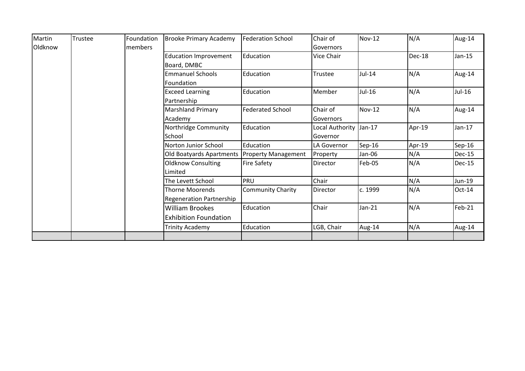| Martin  | Trustee | Foundation | <b>Brooke Primary Academy</b>   | <b>Federation School</b>   | Chair of                | $Nov-12$ | N/A    | Aug-14        |
|---------|---------|------------|---------------------------------|----------------------------|-------------------------|----------|--------|---------------|
| Oldknow |         | members    |                                 |                            | Governors               |          |        |               |
|         |         |            | <b>Education Improvement</b>    | Education                  | Vice Chair              |          | Dec-18 | $Jan-15$      |
|         |         |            | Board, DMBC                     |                            |                         |          |        |               |
|         |         |            | <b>Emmanuel Schools</b>         | Education                  | Trustee                 | $Jul-14$ | N/A    | Aug-14        |
|         |         |            | Foundation                      |                            |                         |          |        |               |
|         |         |            | <b>Exceed Learning</b>          | Education                  | Member                  | Jul-16   | N/A    | Jul-16        |
|         |         |            | Partnership                     |                            |                         |          |        |               |
|         |         |            | <b>Marshland Primary</b>        | <b>Federated School</b>    | Chair of                | Nov-12   | N/A    | Aug-14        |
|         |         |            | Academy                         |                            | Governors               |          |        |               |
|         |         |            | Northridge Community            | Education                  | Local Authority  Jan-17 |          | Apr-19 | $Jan-17$      |
|         |         |            | School                          |                            | Governor                |          |        |               |
|         |         |            | Norton Junior School            | Education                  | LA Governor             | $Sep-16$ | Apr-19 | $Sep-16$      |
|         |         |            | Old Boatyards Apartments        | <b>Property Management</b> | Property                | Jan-06   | N/A    | <b>Dec-15</b> |
|         |         |            | <b>Oldknow Consulting</b>       | <b>Fire Safety</b>         | Director                | Feb-05   | N/A    | <b>Dec-15</b> |
|         |         |            | Limited                         |                            |                         |          |        |               |
|         |         |            | The Levett School               | <b>PRU</b>                 | Chair                   |          | N/A    | Jun-19        |
|         |         |            | Thorne Moorends                 | <b>Community Charity</b>   | Director                | c. 1999  | N/A    | $Oct-14$      |
|         |         |            | <b>Regeneration Partnership</b> |                            |                         |          |        |               |
|         |         |            | <b>William Brookes</b>          | Education                  | Chair                   | Jan-21   | N/A    | Feb-21        |
|         |         |            | <b>Exhibition Foundation</b>    |                            |                         |          |        |               |
|         |         |            | <b>Trinity Academy</b>          | Education                  | LGB, Chair              | Aug-14   | N/A    | Aug-14        |
|         |         |            |                                 |                            |                         |          |        |               |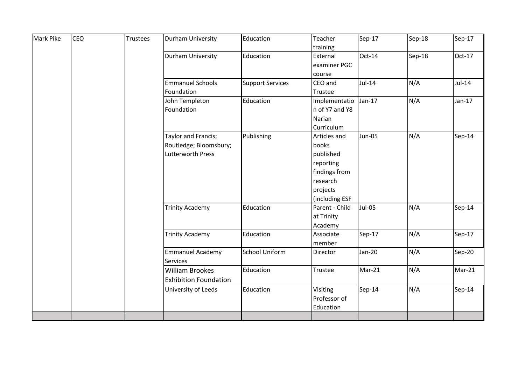| Mark Pike | <b>CEO</b> | Trustees | Durham University            | Education               | Teacher<br>training      | Sep-17        | Sep-18 | Sep-17   |
|-----------|------------|----------|------------------------------|-------------------------|--------------------------|---------------|--------|----------|
|           |            |          | Durham University            | Education               | External<br>examiner PGC | $Oct-14$      | Sep-18 | Oct-17   |
|           |            |          |                              |                         | course                   |               |        |          |
|           |            |          | <b>Emmanuel Schools</b>      | <b>Support Services</b> | CEO and                  | $Jul-14$      | N/A    | $Jul-14$ |
|           |            |          | Foundation                   |                         | Trustee                  |               |        |          |
|           |            |          | John Templeton               | Education               | Implementatio            | $Jan-17$      | N/A    | $Jan-17$ |
|           |            |          | Foundation                   |                         | n of Y7 and Y8           |               |        |          |
|           |            |          |                              |                         | Narian                   |               |        |          |
|           |            |          |                              |                         | Curriculum               |               |        |          |
|           |            |          | Taylor and Francis;          | Publishing              | Articles and             | <b>Jun-05</b> | N/A    | Sep-14   |
|           |            |          | Routledge; Bloomsbury;       |                         | books                    |               |        |          |
|           |            |          | Lutterworth Press            |                         | published                |               |        |          |
|           |            |          |                              |                         | reporting                |               |        |          |
|           |            |          |                              |                         | findings from            |               |        |          |
|           |            |          |                              |                         | research                 |               |        |          |
|           |            |          |                              |                         | projects                 |               |        |          |
|           |            |          |                              |                         | (including ESF           |               |        |          |
|           |            |          | <b>Trinity Academy</b>       | Education               | Parent - Child           | <b>Jul-05</b> | N/A    | Sep-14   |
|           |            |          |                              |                         | at Trinity               |               |        |          |
|           |            |          |                              |                         | Academy                  |               |        |          |
|           |            |          | <b>Trinity Academy</b>       | Education               | Associate                | Sep-17        | N/A    | Sep-17   |
|           |            |          |                              |                         | member                   |               |        |          |
|           |            |          | <b>Emmanuel Academy</b>      | <b>School Uniform</b>   | Director                 | Jan-20        | N/A    | Sep-20   |
|           |            |          | <b>Services</b>              |                         |                          |               |        |          |
|           |            |          | <b>William Brookes</b>       | Education               | Trustee                  | Mar-21        | N/A    | $Mar-21$ |
|           |            |          | <b>Exhibition Foundation</b> |                         |                          |               |        |          |
|           |            |          | University of Leeds          | Education               | Visiting                 | Sep-14        | N/A    | Sep-14   |
|           |            |          |                              |                         | Professor of             |               |        |          |
|           |            |          |                              |                         | Education                |               |        |          |
|           |            |          |                              |                         |                          |               |        |          |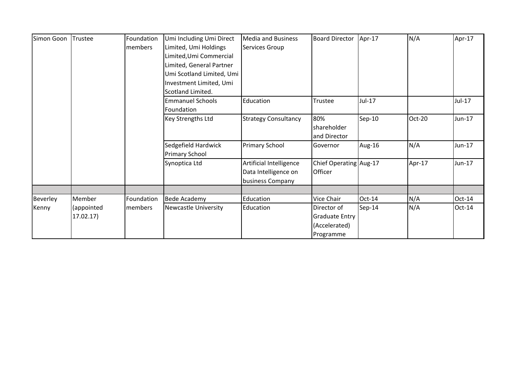| Simon Goon | Trustee    | Foundation | Umi Including Umi Direct  | <b>Media and Business</b>   | <b>Board Director</b>  | $Apr-17$ | N/A    | Apr-17   |
|------------|------------|------------|---------------------------|-----------------------------|------------------------|----------|--------|----------|
|            |            | members    | Limited, Umi Holdings     | Services Group              |                        |          |        |          |
|            |            |            | Limited, Umi Commercial   |                             |                        |          |        |          |
|            |            |            | Limited, General Partner  |                             |                        |          |        |          |
|            |            |            | Umi Scotland Limited, Umi |                             |                        |          |        |          |
|            |            |            | Investment Limited, Umi   |                             |                        |          |        |          |
|            |            |            | Scotland Limited.         |                             |                        |          |        |          |
|            |            |            | <b>Emmanuel Schools</b>   | Education                   | Trustee                | Jul-17   |        | Jul-17   |
|            |            |            | Foundation                |                             |                        |          |        |          |
|            |            |            | <b>Key Strengths Ltd</b>  | <b>Strategy Consultancy</b> | 80%                    | Sep-10   | Oct-20 | Jun-17   |
|            |            |            |                           |                             | shareholder            |          |        |          |
|            |            |            |                           |                             | and Director           |          |        |          |
|            |            |            | Sedgefield Hardwick       | <b>Primary School</b>       | Governor               | Aug-16   | N/A    | Jun-17   |
|            |            |            | <b>Primary School</b>     |                             |                        |          |        |          |
|            |            |            | Synoptica Ltd             | Artificial Intelligence     | Chief Operating Aug-17 |          | Apr-17 | Jun-17   |
|            |            |            |                           | Data Intelligence on        | Officer                |          |        |          |
|            |            |            |                           | business Company            |                        |          |        |          |
|            |            |            |                           |                             |                        |          |        |          |
| Beverley   | Member     | Foundation | <b>Bede Academy</b>       | Education                   | Vice Chair             | $Oct-14$ | N/A    | $Oct-14$ |
| Kenny      | (appointed | members    | Newcastle University      | Education                   | Director of            | Sep-14   | N/A    | $Oct-14$ |
|            | 17.02.17)  |            |                           |                             | <b>Graduate Entry</b>  |          |        |          |
|            |            |            |                           |                             | (Accelerated)          |          |        |          |
|            |            |            |                           |                             | Programme              |          |        |          |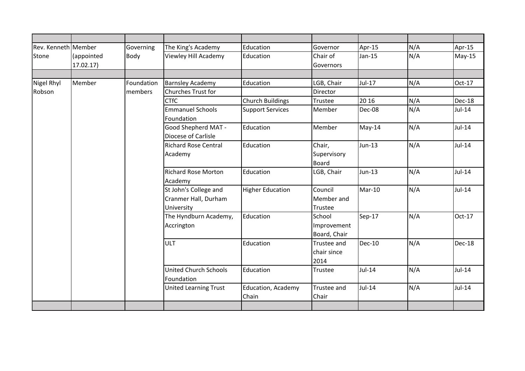| Rev. Kenneth Member |                        | Governing   | The King's Academy                                          | Education                   | Governor                              | Apr-15        | N/A | Apr-15   |
|---------------------|------------------------|-------------|-------------------------------------------------------------|-----------------------------|---------------------------------------|---------------|-----|----------|
| Stone               | (appointed<br>17.02.17 | <b>Body</b> | Viewley Hill Academy                                        | Education                   | Chair of<br>Governors                 | $Jan-15$      | N/A | $May-15$ |
|                     |                        |             |                                                             |                             |                                       |               |     |          |
| Nigel Rhyl          | Member                 | Foundation  | <b>Barnsley Academy</b>                                     | Education                   | LGB, Chair                            | $Jul-17$      | N/A | Oct-17   |
| Robson              |                        | members     | Churches Trust for                                          |                             | Director                              |               |     |          |
|                     |                        |             | <b>CTfC</b>                                                 | <b>Church Buildings</b>     | Trustee                               | 20 16         | N/A | Dec-18   |
|                     |                        |             | <b>Emmanuel Schools</b><br>Foundation                       | <b>Support Services</b>     | Member                                | Dec-08        | N/A | Jul-14   |
|                     |                        |             | Good Shepherd MAT -<br>Diocese of Carlisle                  | Education                   | Member                                | $May-14$      | N/A | $Jul-14$ |
|                     |                        |             | <b>Richard Rose Central</b><br>Academy                      | Education                   | Chair,<br>Supervisory<br><b>Board</b> | Jun-13        | N/A | $Jul-14$ |
|                     |                        |             | <b>Richard Rose Morton</b><br>Academy                       | Education                   | LGB, Chair                            | $Jun-13$      | N/A | $Jul-14$ |
|                     |                        |             | St John's College and<br>Cranmer Hall, Durham<br>University | <b>Higher Education</b>     | Council<br>Member and<br>Trustee      | Mar-10        | N/A | $Jul-14$ |
|                     |                        |             | The Hyndburn Academy,<br>Accrington                         | Education                   | School<br>Improvement<br>Board, Chair | Sep-17        | N/A | Oct-17   |
|                     |                        |             | <b>ULT</b>                                                  | Education                   | Trustee and<br>chair since<br>2014    | <b>Dec-10</b> | N/A | Dec-18   |
|                     |                        |             | <b>United Church Schools</b><br>Foundation                  | Education                   | Trustee                               | $Jul-14$      | N/A | $Jul-14$ |
|                     |                        |             | <b>United Learning Trust</b>                                | Education, Academy<br>Chain | Trustee and<br>Chair                  | $Jul-14$      | N/A | $Jul-14$ |
|                     |                        |             |                                                             |                             |                                       |               |     |          |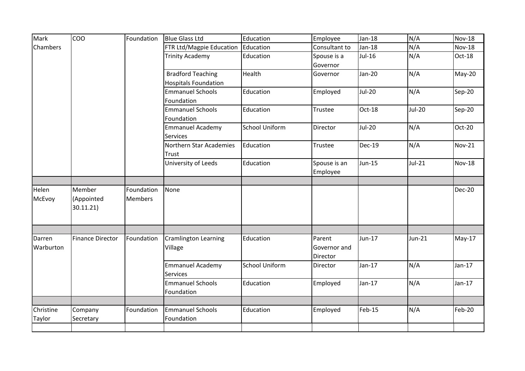| Mark            | COO                     | Foundation | <b>Blue Glass Ltd</b>       | Education             | Employee      | $Jan-18$      | N/A           | <b>Nov-18</b> |
|-----------------|-------------------------|------------|-----------------------------|-----------------------|---------------|---------------|---------------|---------------|
| <b>Chambers</b> |                         |            | FTR Ltd/Magpie Education    | Education             | Consultant to | $Jan-18$      | N/A           | <b>Nov-18</b> |
|                 |                         |            | <b>Trinity Academy</b>      | Education             | Spouse is a   | Jul-16        | N/A           | Oct-18        |
|                 |                         |            |                             |                       | Governor      |               |               |               |
|                 |                         |            | <b>Bradford Teaching</b>    | Health                | Governor      | Jan-20        | N/A           | $May-20$      |
|                 |                         |            | <b>Hospitals Foundation</b> |                       |               |               |               |               |
|                 |                         |            | <b>Emmanuel Schools</b>     | Education             | Employed      | <b>Jul-20</b> | N/A           | Sep-20        |
|                 |                         |            | Foundation                  |                       |               |               |               |               |
|                 |                         |            | <b>Emmanuel Schools</b>     | Education             | Trustee       | Oct-18        | <b>Jul-20</b> | Sep-20        |
|                 |                         |            | Foundation                  |                       |               |               |               |               |
|                 |                         |            | <b>Emmanuel Academy</b>     | <b>School Uniform</b> | Director      | <b>Jul-20</b> | N/A           | Oct-20        |
|                 |                         |            | <b>Services</b>             |                       |               |               |               |               |
|                 |                         |            | Northern Star Academies     | Education             | Trustee       | Dec-19        | N/A           | <b>Nov-21</b> |
|                 |                         |            | Trust                       |                       |               |               |               |               |
|                 |                         |            | University of Leeds         | Education             | Spouse is an  | Jun-15        | $Jul-21$      | <b>Nov-18</b> |
|                 |                         |            |                             |                       | Employee      |               |               |               |
| Helen           | Member                  | Foundation | None                        |                       |               |               |               | <b>Dec-20</b> |
| McEvoy          | (Appointed              | Members    |                             |                       |               |               |               |               |
|                 | 30.11.21)               |            |                             |                       |               |               |               |               |
|                 |                         |            |                             |                       |               |               |               |               |
|                 |                         |            |                             |                       |               |               |               |               |
| Darren          | <b>Finance Director</b> | Foundation | <b>Cramlington Learning</b> | Education             | Parent        | Jun-17        | $Jun-21$      | $May-17$      |
| Warburton       |                         |            | Village                     |                       | Governor and  |               |               |               |
|                 |                         |            |                             |                       | Director      |               |               |               |
|                 |                         |            | <b>Emmanuel Academy</b>     | <b>School Uniform</b> | Director      | Jan-17        | N/A           | $Jan-17$      |
|                 |                         |            | <b>Services</b>             |                       |               |               |               |               |
|                 |                         |            | <b>Emmanuel Schools</b>     | Education             | Employed      | $Jan-17$      | N/A           | $Jan-17$      |
|                 |                         |            | Foundation                  |                       |               |               |               |               |
|                 |                         |            |                             |                       |               |               |               |               |
| Christine       | Company                 | Foundation | <b>Emmanuel Schools</b>     | Education             | Employed      | Feb-15        | N/A           | Feb-20        |
| Taylor          | Secretary               |            | Foundation                  |                       |               |               |               |               |
|                 |                         |            |                             |                       |               |               |               |               |